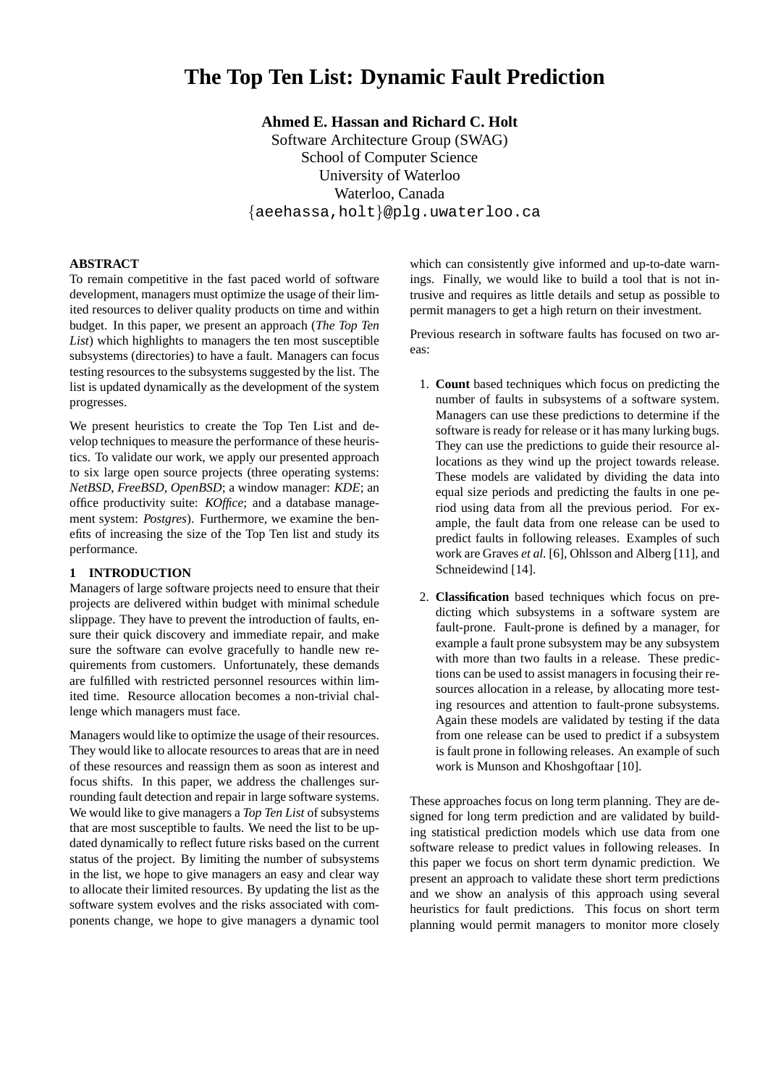# **The Top Ten List: Dynamic Fault Prediction**

**Ahmed E. Hassan and Richard C. Holt** Software Architecture Group (SWAG) School of Computer Science University of Waterloo Waterloo, Canada {aeehassa,holt}@plg.uwaterloo.ca

## **ABSTRACT**

To remain competitive in the fast paced world of software development, managers must optimize the usage of their limited resources to deliver quality products on time and within budget. In this paper, we present an approach (*The Top Ten List*) which highlights to managers the ten most susceptible subsystems (directories) to have a fault. Managers can focus testing resources to the subsystems suggested by the list. The list is updated dynamically as the development of the system progresses.

We present heuristics to create the Top Ten List and develop techniques to measure the performance of these heuristics. To validate our work, we apply our presented approach to six large open source projects (three operating systems: *NetBSD*, *FreeBSD*, *OpenBSD*; a window manager: *KDE*; an office productivity suite: *KOffice*; and a database management system: *Postgres*). Furthermore, we examine the benefits of increasing the size of the Top Ten list and study its performance.

#### **1 INTRODUCTION**

Managers of large software projects need to ensure that their projects are delivered within budget with minimal schedule slippage. They have to prevent the introduction of faults, ensure their quick discovery and immediate repair, and make sure the software can evolve gracefully to handle new requirements from customers. Unfortunately, these demands are fulfilled with restricted personnel resources within limited time. Resource allocation becomes a non-trivial challenge which managers must face.

Managers would like to optimize the usage of their resources. They would like to allocate resources to areas that are in need of these resources and reassign them as soon as interest and focus shifts. In this paper, we address the challenges surrounding fault detection and repair in large software systems. We would like to give managers a *Top Ten List* of subsystems that are most susceptible to faults. We need the list to be updated dynamically to reflect future risks based on the current status of the project. By limiting the number of subsystems in the list, we hope to give managers an easy and clear way to allocate their limited resources. By updating the list as the software system evolves and the risks associated with components change, we hope to give managers a dynamic tool

which can consistently give informed and up-to-date warnings. Finally, we would like to build a tool that is not intrusive and requires as little details and setup as possible to permit managers to get a high return on their investment.

Previous research in software faults has focused on two areas:

- 1. **Count** based techniques which focus on predicting the number of faults in subsystems of a software system. Managers can use these predictions to determine if the software is ready for release or it has many lurking bugs. They can use the predictions to guide their resource allocations as they wind up the project towards release. These models are validated by dividing the data into equal size periods and predicting the faults in one period using data from all the previous period. For example, the fault data from one release can be used to predict faults in following releases. Examples of such work are Graves *et al.* [6], Ohlsson and Alberg [11], and Schneidewind [14].
- 2. **Classification** based techniques which focus on predicting which subsystems in a software system are fault-prone. Fault-prone is defined by a manager, for example a fault prone subsystem may be any subsystem with more than two faults in a release. These predictions can be used to assist managers in focusing their resources allocation in a release, by allocating more testing resources and attention to fault-prone subsystems. Again these models are validated by testing if the data from one release can be used to predict if a subsystem is fault prone in following releases. An example of such work is Munson and Khoshgoftaar [10].

These approaches focus on long term planning. They are designed for long term prediction and are validated by building statistical prediction models which use data from one software release to predict values in following releases. In this paper we focus on short term dynamic prediction. We present an approach to validate these short term predictions and we show an analysis of this approach using several heuristics for fault predictions. This focus on short term planning would permit managers to monitor more closely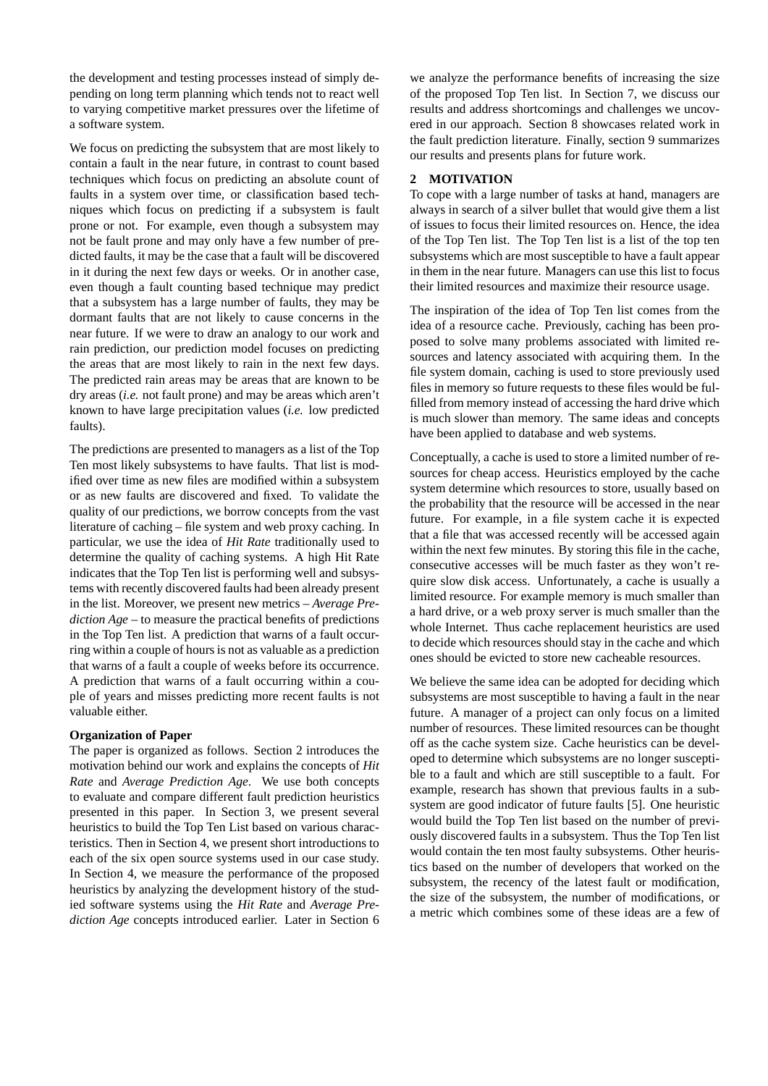the development and testing processes instead of simply depending on long term planning which tends not to react well to varying competitive market pressures over the lifetime of a software system.

We focus on predicting the subsystem that are most likely to contain a fault in the near future, in contrast to count based techniques which focus on predicting an absolute count of faults in a system over time, or classification based techniques which focus on predicting if a subsystem is fault prone or not. For example, even though a subsystem may not be fault prone and may only have a few number of predicted faults, it may be the case that a fault will be discovered in it during the next few days or weeks. Or in another case, even though a fault counting based technique may predict that a subsystem has a large number of faults, they may be dormant faults that are not likely to cause concerns in the near future. If we were to draw an analogy to our work and rain prediction, our prediction model focuses on predicting the areas that are most likely to rain in the next few days. The predicted rain areas may be areas that are known to be dry areas (*i.e.* not fault prone) and may be areas which aren't known to have large precipitation values (*i.e.* low predicted faults).

The predictions are presented to managers as a list of the Top Ten most likely subsystems to have faults. That list is modified over time as new files are modified within a subsystem or as new faults are discovered and fixed. To validate the quality of our predictions, we borrow concepts from the vast literature of caching – file system and web proxy caching. In particular, we use the idea of *Hit Rate* traditionally used to determine the quality of caching systems. A high Hit Rate indicates that the Top Ten list is performing well and subsystems with recently discovered faults had been already present in the list. Moreover, we present new metrics – *Average Prediction Age* – to measure the practical benefits of predictions in the Top Ten list. A prediction that warns of a fault occurring within a couple of hours is not as valuable as a prediction that warns of a fault a couple of weeks before its occurrence. A prediction that warns of a fault occurring within a couple of years and misses predicting more recent faults is not valuable either.

#### **Organization of Paper**

The paper is organized as follows. Section 2 introduces the motivation behind our work and explains the concepts of *Hit Rate* and *Average Prediction Age*. We use both concepts to evaluate and compare different fault prediction heuristics presented in this paper. In Section 3, we present several heuristics to build the Top Ten List based on various characteristics. Then in Section 4, we present short introductions to each of the six open source systems used in our case study. In Section 4, we measure the performance of the proposed heuristics by analyzing the development history of the studied software systems using the *Hit Rate* and *Average Prediction Age* concepts introduced earlier. Later in Section 6 we analyze the performance benefits of increasing the size of the proposed Top Ten list. In Section 7, we discuss our results and address shortcomings and challenges we uncovered in our approach. Section 8 showcases related work in the fault prediction literature. Finally, section 9 summarizes our results and presents plans for future work.

### **2 MOTIVATION**

To cope with a large number of tasks at hand, managers are always in search of a silver bullet that would give them a list of issues to focus their limited resources on. Hence, the idea of the Top Ten list. The Top Ten list is a list of the top ten subsystems which are most susceptible to have a fault appear in them in the near future. Managers can use this list to focus their limited resources and maximize their resource usage.

The inspiration of the idea of Top Ten list comes from the idea of a resource cache. Previously, caching has been proposed to solve many problems associated with limited resources and latency associated with acquiring them. In the file system domain, caching is used to store previously used files in memory so future requests to these files would be fulfilled from memory instead of accessing the hard drive which is much slower than memory. The same ideas and concepts have been applied to database and web systems.

Conceptually, a cache is used to store a limited number of resources for cheap access. Heuristics employed by the cache system determine which resources to store, usually based on the probability that the resource will be accessed in the near future. For example, in a file system cache it is expected that a file that was accessed recently will be accessed again within the next few minutes. By storing this file in the cache, consecutive accesses will be much faster as they won't require slow disk access. Unfortunately, a cache is usually a limited resource. For example memory is much smaller than a hard drive, or a web proxy server is much smaller than the whole Internet. Thus cache replacement heuristics are used to decide which resources should stay in the cache and which ones should be evicted to store new cacheable resources.

We believe the same idea can be adopted for deciding which subsystems are most susceptible to having a fault in the near future. A manager of a project can only focus on a limited number of resources. These limited resources can be thought off as the cache system size. Cache heuristics can be developed to determine which subsystems are no longer susceptible to a fault and which are still susceptible to a fault. For example, research has shown that previous faults in a subsystem are good indicator of future faults [5]. One heuristic would build the Top Ten list based on the number of previously discovered faults in a subsystem. Thus the Top Ten list would contain the ten most faulty subsystems. Other heuristics based on the number of developers that worked on the subsystem, the recency of the latest fault or modification, the size of the subsystem, the number of modifications, or a metric which combines some of these ideas are a few of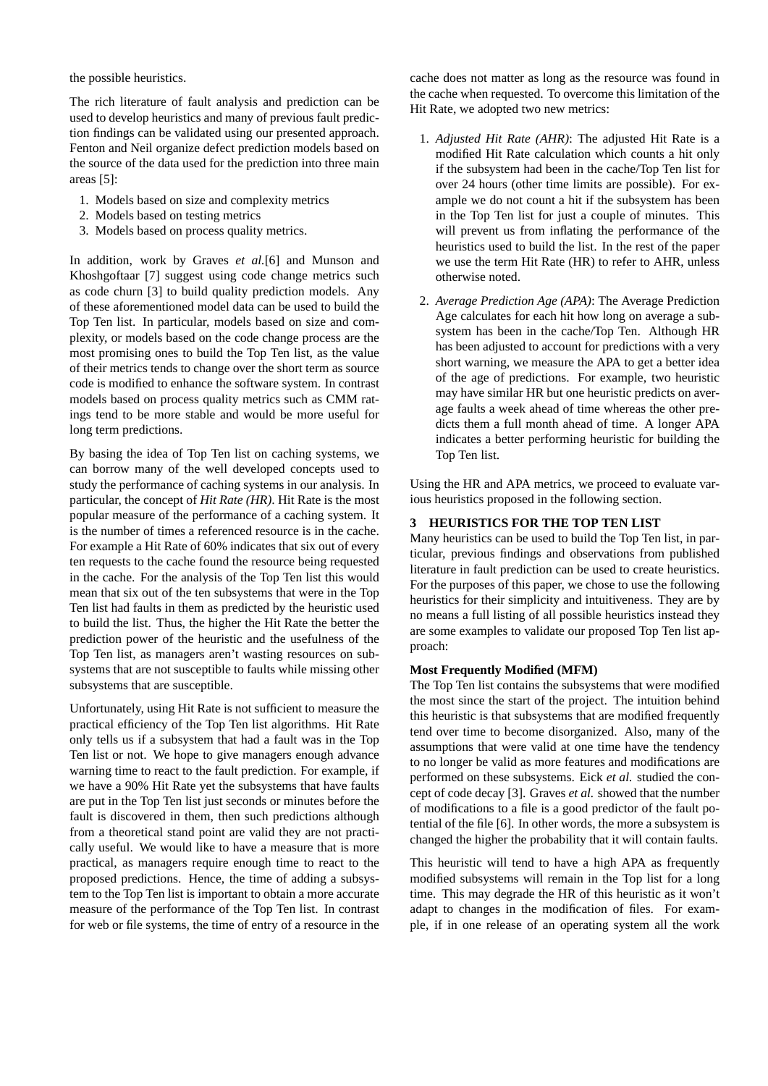the possible heuristics.

The rich literature of fault analysis and prediction can be used to develop heuristics and many of previous fault prediction findings can be validated using our presented approach. Fenton and Neil organize defect prediction models based on the source of the data used for the prediction into three main areas [5]:

- 1. Models based on size and complexity metrics
- 2. Models based on testing metrics
- 3. Models based on process quality metrics.

In addition, work by Graves *et al.*[6] and Munson and Khoshgoftaar [7] suggest using code change metrics such as code churn [3] to build quality prediction models. Any of these aforementioned model data can be used to build the Top Ten list. In particular, models based on size and complexity, or models based on the code change process are the most promising ones to build the Top Ten list, as the value of their metrics tends to change over the short term as source code is modified to enhance the software system. In contrast models based on process quality metrics such as CMM ratings tend to be more stable and would be more useful for long term predictions.

By basing the idea of Top Ten list on caching systems, we can borrow many of the well developed concepts used to study the performance of caching systems in our analysis. In particular, the concept of *Hit Rate (HR)*. Hit Rate is the most popular measure of the performance of a caching system. It is the number of times a referenced resource is in the cache. For example a Hit Rate of 60% indicates that six out of every ten requests to the cache found the resource being requested in the cache. For the analysis of the Top Ten list this would mean that six out of the ten subsystems that were in the Top Ten list had faults in them as predicted by the heuristic used to build the list. Thus, the higher the Hit Rate the better the prediction power of the heuristic and the usefulness of the Top Ten list, as managers aren't wasting resources on subsystems that are not susceptible to faults while missing other subsystems that are susceptible.

Unfortunately, using Hit Rate is not sufficient to measure the practical efficiency of the Top Ten list algorithms. Hit Rate only tells us if a subsystem that had a fault was in the Top Ten list or not. We hope to give managers enough advance warning time to react to the fault prediction. For example, if we have a 90% Hit Rate yet the subsystems that have faults are put in the Top Ten list just seconds or minutes before the fault is discovered in them, then such predictions although from a theoretical stand point are valid they are not practically useful. We would like to have a measure that is more practical, as managers require enough time to react to the proposed predictions. Hence, the time of adding a subsystem to the Top Ten list is important to obtain a more accurate measure of the performance of the Top Ten list. In contrast for web or file systems, the time of entry of a resource in the cache does not matter as long as the resource was found in the cache when requested. To overcome this limitation of the Hit Rate, we adopted two new metrics:

- 1. *Adjusted Hit Rate (AHR)*: The adjusted Hit Rate is a modified Hit Rate calculation which counts a hit only if the subsystem had been in the cache/Top Ten list for over 24 hours (other time limits are possible). For example we do not count a hit if the subsystem has been in the Top Ten list for just a couple of minutes. This will prevent us from inflating the performance of the heuristics used to build the list. In the rest of the paper we use the term Hit Rate (HR) to refer to AHR, unless otherwise noted.
- 2. *Average Prediction Age (APA)*: The Average Prediction Age calculates for each hit how long on average a subsystem has been in the cache/Top Ten. Although HR has been adjusted to account for predictions with a very short warning, we measure the APA to get a better idea of the age of predictions. For example, two heuristic may have similar HR but one heuristic predicts on average faults a week ahead of time whereas the other predicts them a full month ahead of time. A longer APA indicates a better performing heuristic for building the Top Ten list.

Using the HR and APA metrics, we proceed to evaluate various heuristics proposed in the following section.

## **3 HEURISTICS FOR THE TOP TEN LIST**

Many heuristics can be used to build the Top Ten list, in particular, previous findings and observations from published literature in fault prediction can be used to create heuristics. For the purposes of this paper, we chose to use the following heuristics for their simplicity and intuitiveness. They are by no means a full listing of all possible heuristics instead they are some examples to validate our proposed Top Ten list approach:

# **Most Frequently Modified (MFM)**

The Top Ten list contains the subsystems that were modified the most since the start of the project. The intuition behind this heuristic is that subsystems that are modified frequently tend over time to become disorganized. Also, many of the assumptions that were valid at one time have the tendency to no longer be valid as more features and modifications are performed on these subsystems. Eick *et al.* studied the concept of code decay [3]. Graves *et al.* showed that the number of modifications to a file is a good predictor of the fault potential of the file [6]. In other words, the more a subsystem is changed the higher the probability that it will contain faults.

This heuristic will tend to have a high APA as frequently modified subsystems will remain in the Top list for a long time. This may degrade the HR of this heuristic as it won't adapt to changes in the modification of files. For example, if in one release of an operating system all the work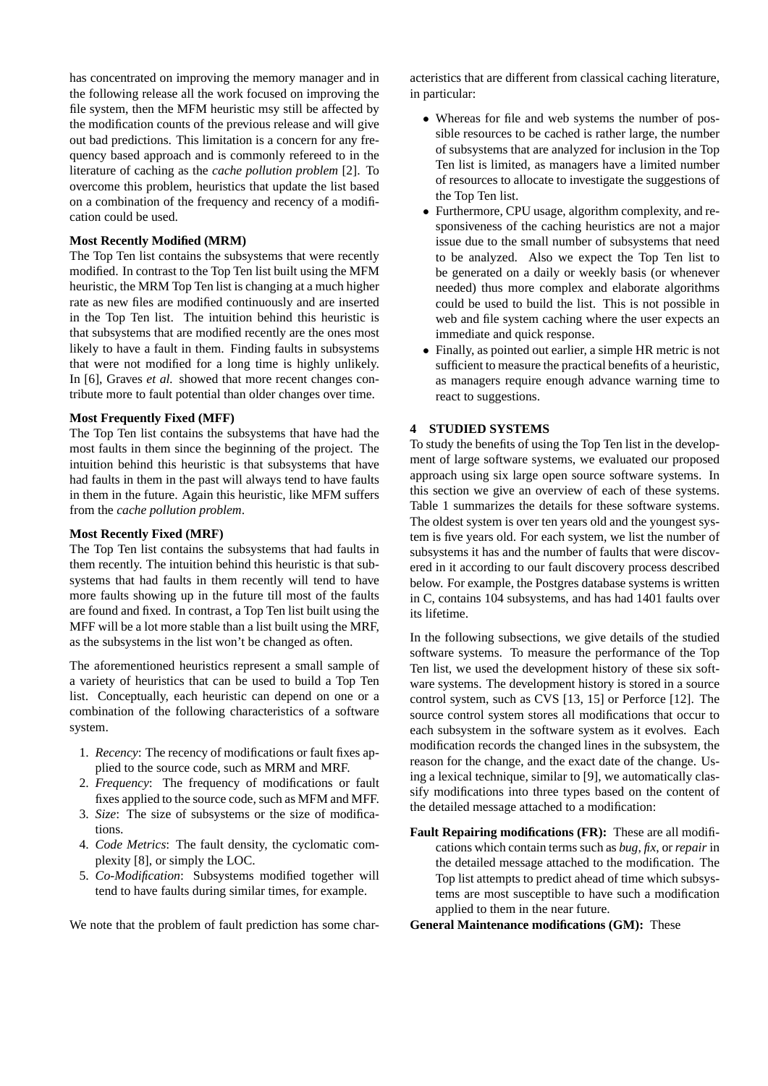has concentrated on improving the memory manager and in the following release all the work focused on improving the file system, then the MFM heuristic msy still be affected by the modification counts of the previous release and will give out bad predictions. This limitation is a concern for any frequency based approach and is commonly refereed to in the literature of caching as the *cache pollution problem* [2]. To overcome this problem, heuristics that update the list based on a combination of the frequency and recency of a modification could be used.

#### **Most Recently Modified (MRM)**

The Top Ten list contains the subsystems that were recently modified. In contrast to the Top Ten list built using the MFM heuristic, the MRM Top Ten list is changing at a much higher rate as new files are modified continuously and are inserted in the Top Ten list. The intuition behind this heuristic is that subsystems that are modified recently are the ones most likely to have a fault in them. Finding faults in subsystems that were not modified for a long time is highly unlikely. In [6], Graves *et al.* showed that more recent changes contribute more to fault potential than older changes over time.

#### **Most Frequently Fixed (MFF)**

The Top Ten list contains the subsystems that have had the most faults in them since the beginning of the project. The intuition behind this heuristic is that subsystems that have had faults in them in the past will always tend to have faults in them in the future. Again this heuristic, like MFM suffers from the *cache pollution problem*.

#### **Most Recently Fixed (MRF)**

The Top Ten list contains the subsystems that had faults in them recently. The intuition behind this heuristic is that subsystems that had faults in them recently will tend to have more faults showing up in the future till most of the faults are found and fixed. In contrast, a Top Ten list built using the MFF will be a lot more stable than a list built using the MRF, as the subsystems in the list won't be changed as often.

The aforementioned heuristics represent a small sample of a variety of heuristics that can be used to build a Top Ten list. Conceptually, each heuristic can depend on one or a combination of the following characteristics of a software system.

- 1. *Recency*: The recency of modifications or fault fixes applied to the source code, such as MRM and MRF.
- 2. *Frequency*: The frequency of modifications or fault fixes applied to the source code, such as MFM and MFF.
- 3. *Size*: The size of subsystems or the size of modifications.
- 4. *Code Metrics*: The fault density, the cyclomatic complexity [8], or simply the LOC.
- 5. *Co-Modification*: Subsystems modified together will tend to have faults during similar times, for example.

We note that the problem of fault prediction has some char-

acteristics that are different from classical caching literature, in particular:

- Whereas for file and web systems the number of possible resources to be cached is rather large, the number of subsystems that are analyzed for inclusion in the Top Ten list is limited, as managers have a limited number of resources to allocate to investigate the suggestions of the Top Ten list.
- Furthermore, CPU usage, algorithm complexity, and responsiveness of the caching heuristics are not a major issue due to the small number of subsystems that need to be analyzed. Also we expect the Top Ten list to be generated on a daily or weekly basis (or whenever needed) thus more complex and elaborate algorithms could be used to build the list. This is not possible in web and file system caching where the user expects an immediate and quick response.
- Finally, as pointed out earlier, a simple HR metric is not sufficient to measure the practical benefits of a heuristic, as managers require enough advance warning time to react to suggestions.

### **4 STUDIED SYSTEMS**

To study the benefits of using the Top Ten list in the development of large software systems, we evaluated our proposed approach using six large open source software systems. In this section we give an overview of each of these systems. Table 1 summarizes the details for these software systems. The oldest system is over ten years old and the youngest system is five years old. For each system, we list the number of subsystems it has and the number of faults that were discovered in it according to our fault discovery process described below. For example, the Postgres database systems is written in C, contains 104 subsystems, and has had 1401 faults over its lifetime.

In the following subsections, we give details of the studied software systems. To measure the performance of the Top Ten list, we used the development history of these six software systems. The development history is stored in a source control system, such as CVS [13, 15] or Perforce [12]. The source control system stores all modifications that occur to each subsystem in the software system as it evolves. Each modification records the changed lines in the subsystem, the reason for the change, and the exact date of the change. Using a lexical technique, similar to [9], we automatically classify modifications into three types based on the content of the detailed message attached to a modification:

**Fault Repairing modifications (FR):** These are all modifications which contain terms such as *bug*, *fix*, or *repair* in the detailed message attached to the modification. The Top list attempts to predict ahead of time which subsystems are most susceptible to have such a modification applied to them in the near future.

**General Maintenance modifications (GM):** These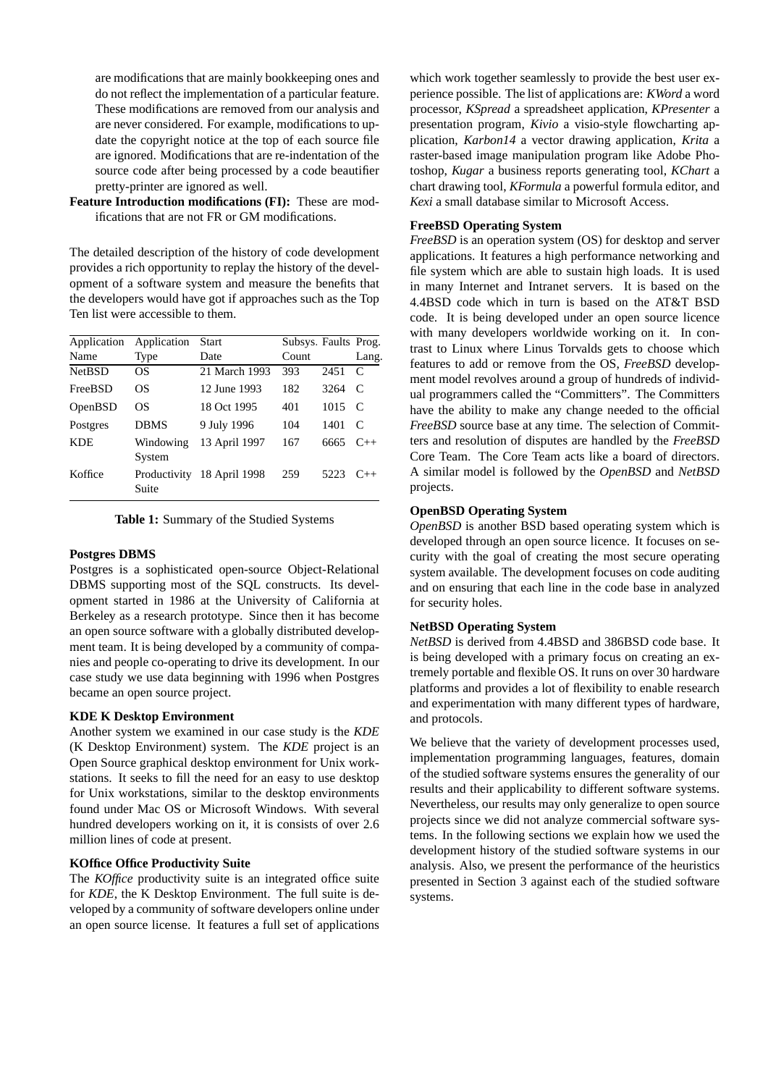are modifications that are mainly bookkeeping ones and do not reflect the implementation of a particular feature. These modifications are removed from our analysis and are never considered. For example, modifications to update the copyright notice at the top of each source file are ignored. Modifications that are re-indentation of the source code after being processed by a code beautifier pretty-printer are ignored as well.

**Feature Introduction modifications (FI):** These are modifications that are not FR or GM modifications.

The detailed description of the history of code development provides a rich opportunity to replay the history of the development of a software system and measure the benefits that the developers would have got if approaches such as the Top Ten list were accessible to them.

| Application    | Application         | Start                      | Subsys. Faults Prog. |      |                             |
|----------------|---------------------|----------------------------|----------------------|------|-----------------------------|
| Name           | Type                | Date                       | Count                |      | Lang.                       |
| <b>NetBSD</b>  | OS                  | 21 March 1993              | 393                  | 2451 | C                           |
| <b>FreeBSD</b> | OS                  | 12 June 1993               | 182                  | 3264 | $\mathcal{C}_{\mathcal{C}}$ |
| OpenBSD        | ΩS                  | 18 Oct 1995                | 401                  | 1015 | $\mathcal{C}_{\mathcal{C}}$ |
| Postgres       | <b>DBMS</b>         | 9 July 1996                | 104                  | 1401 | $\subset$                   |
| <b>KDE</b>     | Windowing<br>System | 13 April 1997              | 167                  | 6665 | $C_{++}$                    |
| Koffice        | Suite               | Productivity 18 April 1998 | 259                  | 5223 | $C_{++}$                    |

**Table 1:** Summary of the Studied Systems

# **Postgres DBMS**

Postgres is a sophisticated open-source Object-Relational DBMS supporting most of the SQL constructs. Its development started in 1986 at the University of California at Berkeley as a research prototype. Since then it has become an open source software with a globally distributed development team. It is being developed by a community of companies and people co-operating to drive its development. In our case study we use data beginning with 1996 when Postgres became an open source project.

# **KDE K Desktop Environment**

Another system we examined in our case study is the *KDE* (K Desktop Environment) system. The *KDE* project is an Open Source graphical desktop environment for Unix workstations. It seeks to fill the need for an easy to use desktop for Unix workstations, similar to the desktop environments found under Mac OS or Microsoft Windows. With several hundred developers working on it, it is consists of over 2.6 million lines of code at present.

# **KOffice Office Productivity Suite**

The *KOffice* productivity suite is an integrated office suite for *KDE*, the K Desktop Environment. The full suite is developed by a community of software developers online under an open source license. It features a full set of applications which work together seamlessly to provide the best user experience possible. The list of applications are: *KWord* a word processor, *KSpread* a spreadsheet application, *KPresenter* a presentation program, *Kivio* a visio-style flowcharting application, *Karbon14* a vector drawing application, *Krita* a raster-based image manipulation program like Adobe Photoshop, *Kugar* a business reports generating tool, *KChart* a chart drawing tool, *KFormula* a powerful formula editor, and *Kexi* a small database similar to Microsoft Access.

### **FreeBSD Operating System**

*FreeBSD* is an operation system (OS) for desktop and server applications. It features a high performance networking and file system which are able to sustain high loads. It is used in many Internet and Intranet servers. It is based on the 4.4BSD code which in turn is based on the AT&T BSD code. It is being developed under an open source licence with many developers worldwide working on it. In contrast to Linux where Linus Torvalds gets to choose which features to add or remove from the OS, *FreeBSD* development model revolves around a group of hundreds of individual programmers called the "Committers". The Committers have the ability to make any change needed to the official *FreeBSD* source base at any time. The selection of Committers and resolution of disputes are handled by the *FreeBSD* Core Team. The Core Team acts like a board of directors. A similar model is followed by the *OpenBSD* and *NetBSD* projects.

## **OpenBSD Operating System**

*OpenBSD* is another BSD based operating system which is developed through an open source licence. It focuses on security with the goal of creating the most secure operating system available. The development focuses on code auditing and on ensuring that each line in the code base in analyzed for security holes.

# **NetBSD Operating System**

*NetBSD* is derived from 4.4BSD and 386BSD code base. It is being developed with a primary focus on creating an extremely portable and flexible OS. It runs on over 30 hardware platforms and provides a lot of flexibility to enable research and experimentation with many different types of hardware, and protocols.

We believe that the variety of development processes used. implementation programming languages, features, domain of the studied software systems ensures the generality of our results and their applicability to different software systems. Nevertheless, our results may only generalize to open source projects since we did not analyze commercial software systems. In the following sections we explain how we used the development history of the studied software systems in our analysis. Also, we present the performance of the heuristics presented in Section 3 against each of the studied software systems.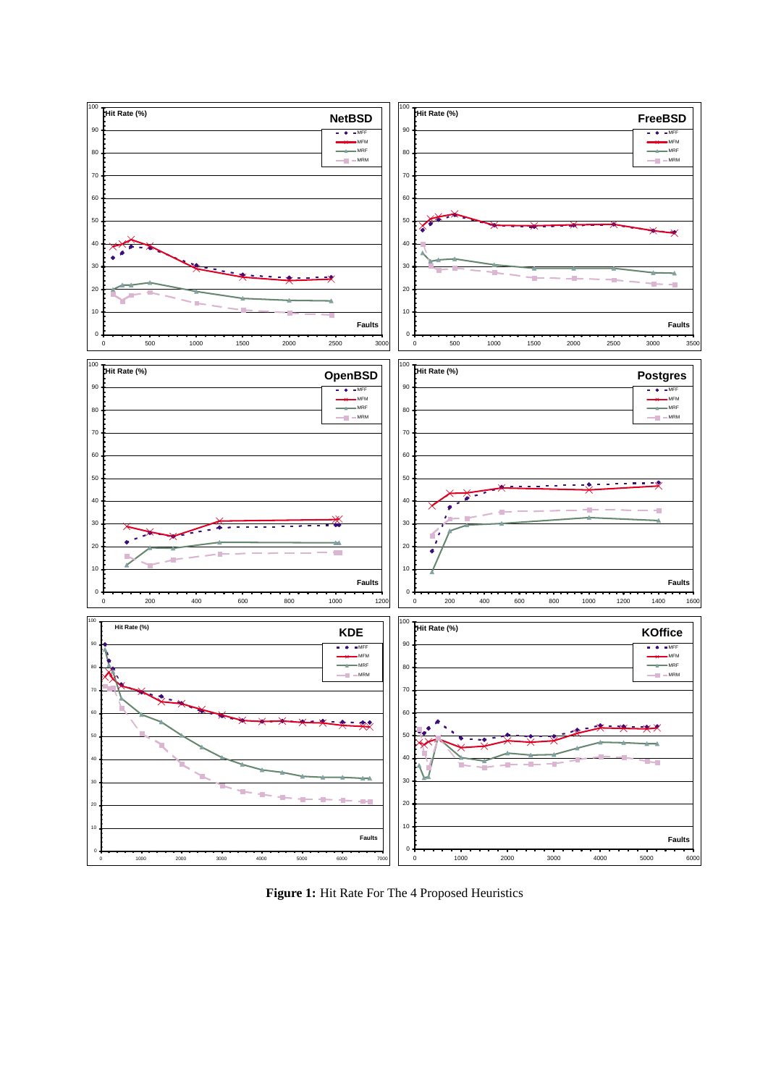

**Figure 1:** Hit Rate For The 4 Proposed Heuristics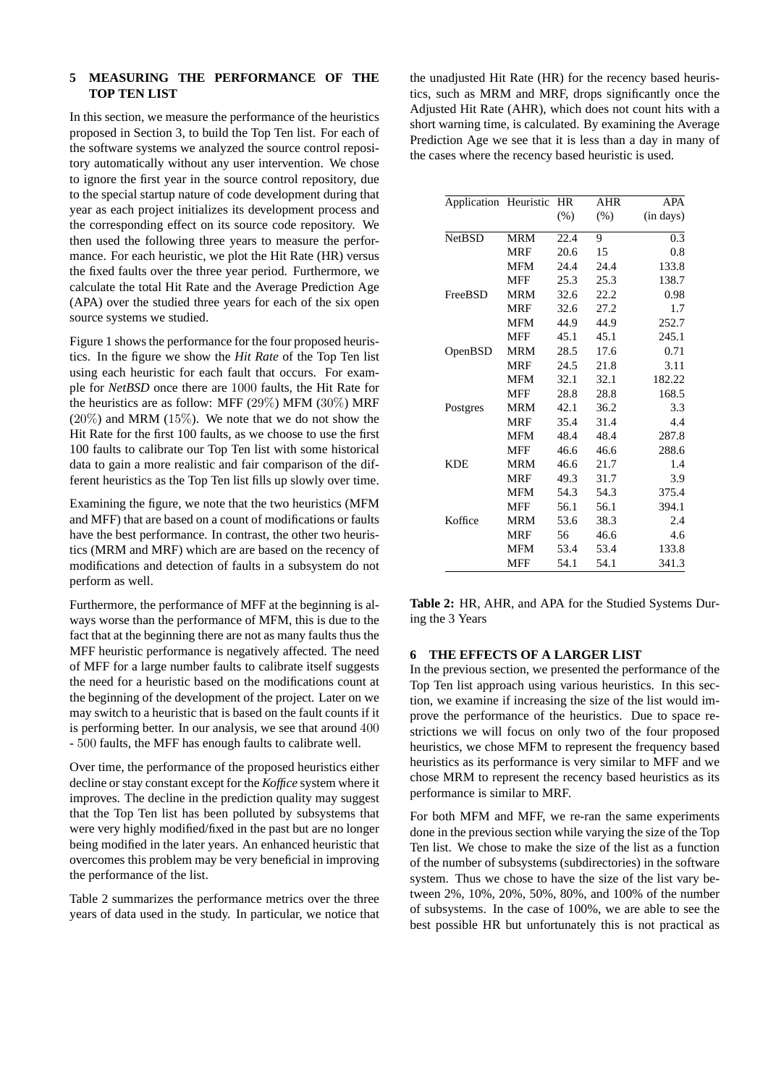# **5 MEASURING THE PERFORMANCE OF THE TOP TEN LIST**

In this section, we measure the performance of the heuristics proposed in Section 3, to build the Top Ten list. For each of the software systems we analyzed the source control repository automatically without any user intervention. We chose to ignore the first year in the source control repository, due to the special startup nature of code development during that year as each project initializes its development process and the corresponding effect on its source code repository. We then used the following three years to measure the performance. For each heuristic, we plot the Hit Rate (HR) versus the fixed faults over the three year period. Furthermore, we calculate the total Hit Rate and the Average Prediction Age (APA) over the studied three years for each of the six open source systems we studied.

Figure 1 shows the performance for the four proposed heuristics. In the figure we show the *Hit Rate* of the Top Ten list using each heuristic for each fault that occurs. For example for *NetBSD* once there are 1000 faults, the Hit Rate for the heuristics are as follow: MFF (29%) MFM (30%) MRF  $(20\%)$  and MRM  $(15\%)$ . We note that we do not show the Hit Rate for the first 100 faults, as we choose to use the first 100 faults to calibrate our Top Ten list with some historical data to gain a more realistic and fair comparison of the different heuristics as the Top Ten list fills up slowly over time.

Examining the figure, we note that the two heuristics (MFM and MFF) that are based on a count of modifications or faults have the best performance. In contrast, the other two heuristics (MRM and MRF) which are are based on the recency of modifications and detection of faults in a subsystem do not perform as well.

Furthermore, the performance of MFF at the beginning is always worse than the performance of MFM, this is due to the fact that at the beginning there are not as many faults thus the MFF heuristic performance is negatively affected. The need of MFF for a large number faults to calibrate itself suggests the need for a heuristic based on the modifications count at the beginning of the development of the project. Later on we may switch to a heuristic that is based on the fault counts if it is performing better. In our analysis, we see that around 400 - 500 faults, the MFF has enough faults to calibrate well.

Over time, the performance of the proposed heuristics either decline or stay constant except for the *Koffice* system where it improves. The decline in the prediction quality may suggest that the Top Ten list has been polluted by subsystems that were very highly modified/fixed in the past but are no longer being modified in the later years. An enhanced heuristic that overcomes this problem may be very beneficial in improving the performance of the list.

Table 2 summarizes the performance metrics over the three years of data used in the study. In particular, we notice that the unadjusted Hit Rate (HR) for the recency based heuristics, such as MRM and MRF, drops significantly once the Adjusted Hit Rate (AHR), which does not count hits with a short warning time, is calculated. By examining the Average Prediction Age we see that it is less than a day in many of the cases where the recency based heuristic is used.

| Application Heuristic |            | <b>HR</b> | <b>AHR</b> | APA       |
|-----------------------|------------|-----------|------------|-----------|
|                       |            | (% )      | (% )       | (in days) |
| <b>NetBSD</b>         | <b>MRM</b> | 22.4      | 9          | 0.3       |
|                       | <b>MRF</b> | 20.6      | 15         | 0.8       |
|                       | <b>MFM</b> | 24.4      | 24.4       | 133.8     |
|                       | <b>MFF</b> | 25.3      | 25.3       | 138.7     |
| FreeBSD               | <b>MRM</b> | 32.6      | 22.2       | 0.98      |
|                       | <b>MRF</b> | 32.6      | 27.2       | 1.7       |
|                       | <b>MFM</b> | 44.9      | 44.9       | 252.7     |
|                       | <b>MFF</b> | 45.1      | 45.1       | 245.1     |
| OpenBSD               | <b>MRM</b> | 28.5      | 17.6       | 0.71      |
|                       | <b>MRF</b> | 24.5      | 21.8       | 3.11      |
|                       | <b>MFM</b> | 32.1      | 32.1       | 182.22    |
|                       | <b>MFF</b> | 28.8      | 28.8       | 168.5     |
| Postgres              | <b>MRM</b> | 42.1      | 36.2       | 3.3       |
|                       | <b>MRF</b> | 35.4      | 31.4       | 4.4       |
|                       | <b>MFM</b> | 48.4      | 48.4       | 287.8     |
|                       | <b>MFF</b> | 46.6      | 46.6       | 288.6     |
| <b>KDE</b>            | <b>MRM</b> | 46.6      | 21.7       | 1.4       |
|                       | <b>MRF</b> | 49.3      | 31.7       | 3.9       |
|                       | <b>MFM</b> | 54.3      | 54.3       | 375.4     |
|                       | <b>MFF</b> | 56.1      | 56.1       | 394.1     |
| Koffice               | <b>MRM</b> | 53.6      | 38.3       | 2.4       |
|                       | MRF        | 56        | 46.6       | 4.6       |
|                       | <b>MFM</b> | 53.4      | 53.4       | 133.8     |
|                       | <b>MFF</b> | 54.1      | 54.1       | 341.3     |

**Table 2:** HR, AHR, and APA for the Studied Systems During the 3 Years

# **6 THE EFFECTS OF A LARGER LIST**

In the previous section, we presented the performance of the Top Ten list approach using various heuristics. In this section, we examine if increasing the size of the list would improve the performance of the heuristics. Due to space restrictions we will focus on only two of the four proposed heuristics, we chose MFM to represent the frequency based heuristics as its performance is very similar to MFF and we chose MRM to represent the recency based heuristics as its performance is similar to MRF.

For both MFM and MFF, we re-ran the same experiments done in the previous section while varying the size of the Top Ten list. We chose to make the size of the list as a function of the number of subsystems (subdirectories) in the software system. Thus we chose to have the size of the list vary between 2%, 10%, 20%, 50%, 80%, and 100% of the number of subsystems. In the case of 100%, we are able to see the best possible HR but unfortunately this is not practical as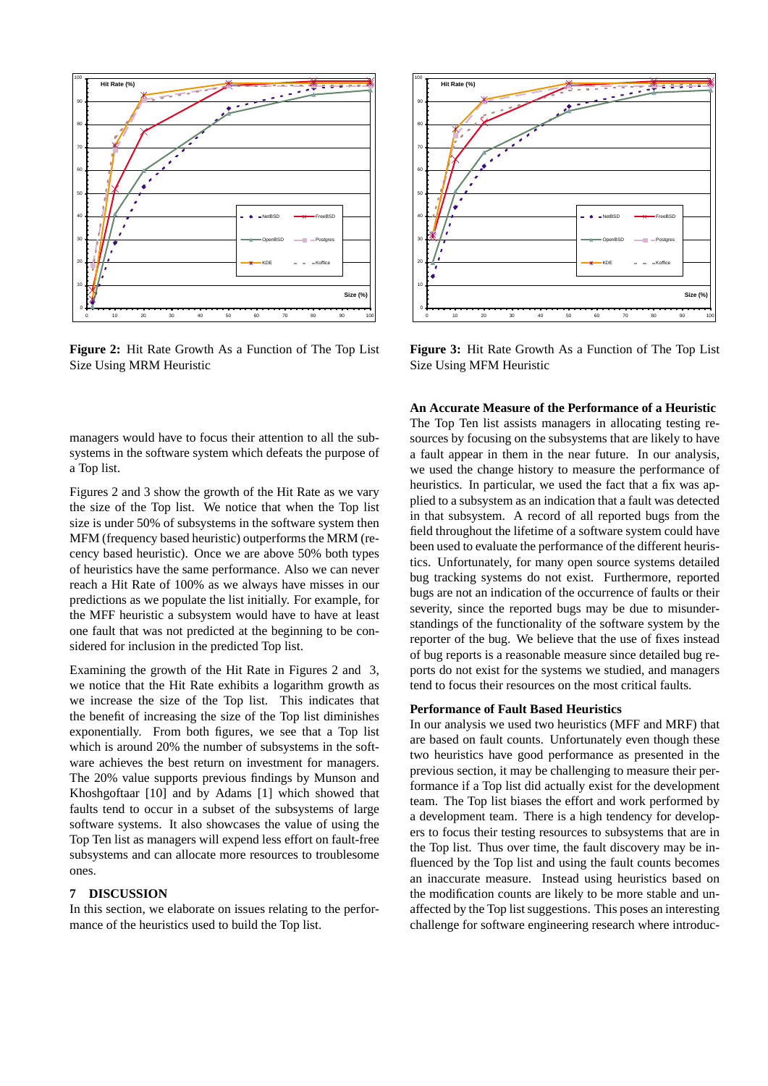

**Figure 2:** Hit Rate Growth As a Function of The Top List Size Using MRM Heuristic

managers would have to focus their attention to all the subsystems in the software system which defeats the purpose of a Top list.

Figures 2 and 3 show the growth of the Hit Rate as we vary the size of the Top list. We notice that when the Top list size is under 50% of subsystems in the software system then MFM (frequency based heuristic) outperforms the MRM (recency based heuristic). Once we are above 50% both types of heuristics have the same performance. Also we can never reach a Hit Rate of 100% as we always have misses in our predictions as we populate the list initially. For example, for the MFF heuristic a subsystem would have to have at least one fault that was not predicted at the beginning to be considered for inclusion in the predicted Top list.

Examining the growth of the Hit Rate in Figures 2 and 3, we notice that the Hit Rate exhibits a logarithm growth as we increase the size of the Top list. This indicates that the benefit of increasing the size of the Top list diminishes exponentially. From both figures, we see that a Top list which is around 20% the number of subsystems in the software achieves the best return on investment for managers. The 20% value supports previous findings by Munson and Khoshgoftaar [10] and by Adams [1] which showed that faults tend to occur in a subset of the subsystems of large software systems. It also showcases the value of using the Top Ten list as managers will expend less effort on fault-free subsystems and can allocate more resources to troublesome ones.

## **7 DISCUSSION**

In this section, we elaborate on issues relating to the performance of the heuristics used to build the Top list.



**Figure 3:** Hit Rate Growth As a Function of The Top List Size Using MFM Heuristic

**An Accurate Measure of the Performance of a Heuristic**

The Top Ten list assists managers in allocating testing resources by focusing on the subsystems that are likely to have a fault appear in them in the near future. In our analysis, we used the change history to measure the performance of heuristics. In particular, we used the fact that a fix was applied to a subsystem as an indication that a fault was detected in that subsystem. A record of all reported bugs from the field throughout the lifetime of a software system could have been used to evaluate the performance of the different heuristics. Unfortunately, for many open source systems detailed bug tracking systems do not exist. Furthermore, reported bugs are not an indication of the occurrence of faults or their severity, since the reported bugs may be due to misunderstandings of the functionality of the software system by the reporter of the bug. We believe that the use of fixes instead of bug reports is a reasonable measure since detailed bug reports do not exist for the systems we studied, and managers tend to focus their resources on the most critical faults.

#### **Performance of Fault Based Heuristics**

In our analysis we used two heuristics (MFF and MRF) that are based on fault counts. Unfortunately even though these two heuristics have good performance as presented in the previous section, it may be challenging to measure their performance if a Top list did actually exist for the development team. The Top list biases the effort and work performed by a development team. There is a high tendency for developers to focus their testing resources to subsystems that are in the Top list. Thus over time, the fault discovery may be influenced by the Top list and using the fault counts becomes an inaccurate measure. Instead using heuristics based on the modification counts are likely to be more stable and unaffected by the Top list suggestions. This poses an interesting challenge for software engineering research where introduc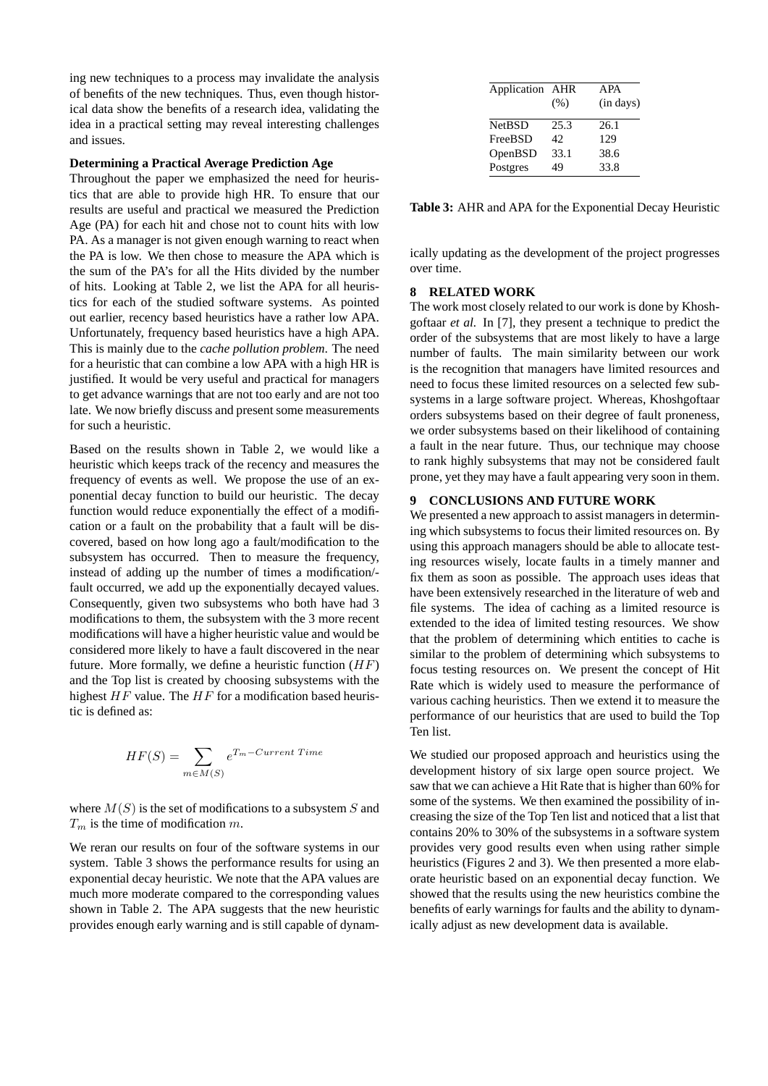ing new techniques to a process may invalidate the analysis of benefits of the new techniques. Thus, even though historical data show the benefits of a research idea, validating the idea in a practical setting may reveal interesting challenges and issues.

### **Determining a Practical Average Prediction Age**

Throughout the paper we emphasized the need for heuristics that are able to provide high HR. To ensure that our results are useful and practical we measured the Prediction Age (PA) for each hit and chose not to count hits with low PA. As a manager is not given enough warning to react when the PA is low. We then chose to measure the APA which is the sum of the PA's for all the Hits divided by the number of hits. Looking at Table 2, we list the APA for all heuristics for each of the studied software systems. As pointed out earlier, recency based heuristics have a rather low APA. Unfortunately, frequency based heuristics have a high APA. This is mainly due to the *cache pollution problem*. The need for a heuristic that can combine a low APA with a high HR is justified. It would be very useful and practical for managers to get advance warnings that are not too early and are not too late. We now briefly discuss and present some measurements for such a heuristic.

Based on the results shown in Table 2, we would like a heuristic which keeps track of the recency and measures the frequency of events as well. We propose the use of an exponential decay function to build our heuristic. The decay function would reduce exponentially the effect of a modification or a fault on the probability that a fault will be discovered, based on how long ago a fault/modification to the subsystem has occurred. Then to measure the frequency, instead of adding up the number of times a modification/ fault occurred, we add up the exponentially decayed values. Consequently, given two subsystems who both have had 3 modifications to them, the subsystem with the 3 more recent modifications will have a higher heuristic value and would be considered more likely to have a fault discovered in the near future. More formally, we define a heuristic function  $(HF)$ and the Top list is created by choosing subsystems with the highest  $HF$  value. The  $HF$  for a modification based heuristic is defined as:

$$
HF(S) = \sum_{m \in M(S)} e^{T_m - Current\ Time}
$$

where  $M(S)$  is the set of modifications to a subsystem S and  $T_m$  is the time of modification m.

We reran our results on four of the software systems in our system. Table 3 shows the performance results for using an exponential decay heuristic. We note that the APA values are much more moderate compared to the corresponding values shown in Table 2. The APA suggests that the new heuristic provides enough early warning and is still capable of dynam-

| Application AHR | (% ) | <b>APA</b><br>(in days) |
|-----------------|------|-------------------------|
| <b>NetBSD</b>   | 25.3 | 26.1                    |
| FreeBSD         | 42   | 129                     |
| OpenBSD         | 33.1 | 38.6                    |
| Postgres        | 49   | 33.8                    |

**Table 3:** AHR and APA for the Exponential Decay Heuristic

ically updating as the development of the project progresses over time.

## **8 RELATED WORK**

The work most closely related to our work is done by Khoshgoftaar *et al.* In [7], they present a technique to predict the order of the subsystems that are most likely to have a large number of faults. The main similarity between our work is the recognition that managers have limited resources and need to focus these limited resources on a selected few subsystems in a large software project. Whereas, Khoshgoftaar orders subsystems based on their degree of fault proneness, we order subsystems based on their likelihood of containing a fault in the near future. Thus, our technique may choose to rank highly subsystems that may not be considered fault prone, yet they may have a fault appearing very soon in them.

### **9 CONCLUSIONS AND FUTURE WORK**

We presented a new approach to assist managers in determining which subsystems to focus their limited resources on. By using this approach managers should be able to allocate testing resources wisely, locate faults in a timely manner and fix them as soon as possible. The approach uses ideas that have been extensively researched in the literature of web and file systems. The idea of caching as a limited resource is extended to the idea of limited testing resources. We show that the problem of determining which entities to cache is similar to the problem of determining which subsystems to focus testing resources on. We present the concept of Hit Rate which is widely used to measure the performance of various caching heuristics. Then we extend it to measure the performance of our heuristics that are used to build the Top Ten list.

We studied our proposed approach and heuristics using the development history of six large open source project. We saw that we can achieve a Hit Rate that is higher than 60% for some of the systems. We then examined the possibility of increasing the size of the Top Ten list and noticed that a list that contains 20% to 30% of the subsystems in a software system provides very good results even when using rather simple heuristics (Figures 2 and 3). We then presented a more elaborate heuristic based on an exponential decay function. We showed that the results using the new heuristics combine the benefits of early warnings for faults and the ability to dynamically adjust as new development data is available.